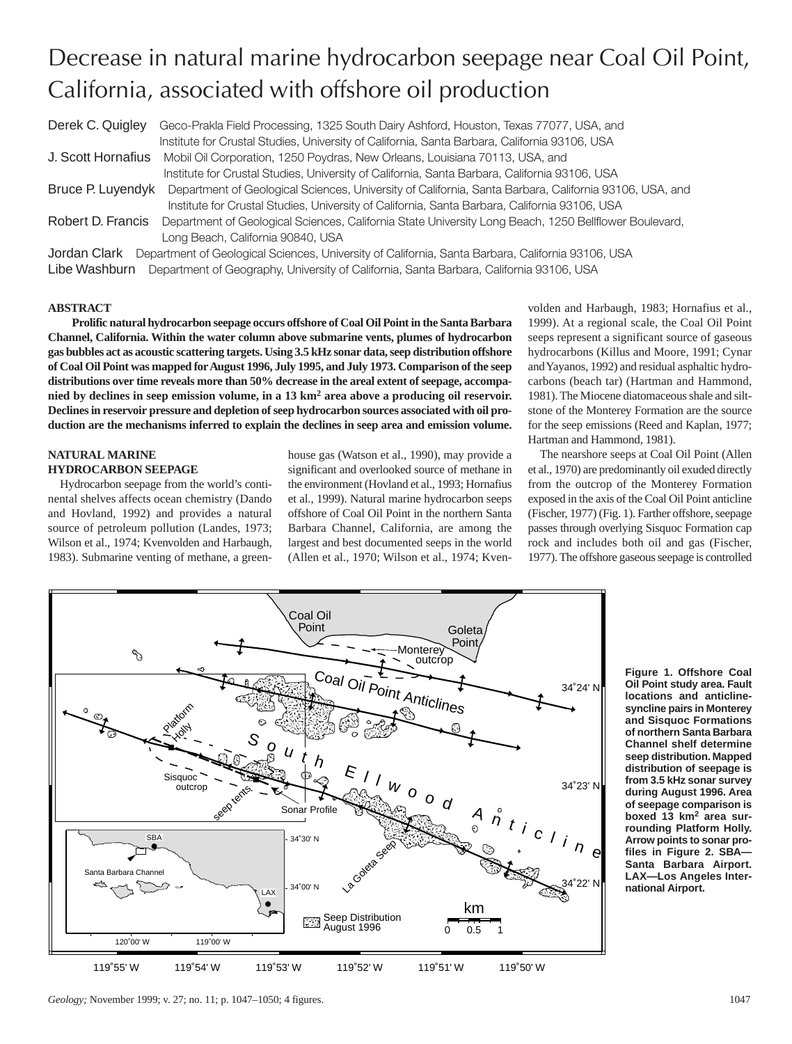# Decrease in natural marine hydrocarbon seepage near Coal Oil Point, California, associated with offshore oil production

Derek C. Quigley Geco-Prakla Field Processing, 1325 South Dairy Ashford, Houston, Texas 77077, USA, and Institute for Crustal Studies, University of California, Santa Barbara, California 93106, USA J. Scott Hornafius Mobil Oil Corporation, 1250 Poydras, New Orleans, Louisiana 70113, USA, and Institute for Crustal Studies, University of California, Santa Barbara, California 93106, USA Bruce P. Luyendyk Department of Geological Sciences, University of California, Santa Barbara, California 93106, USA, and Institute for Crustal Studies, University of California, Santa Barbara, California 93106, USA Robert D. Francis Department of Geological Sciences, California State University Long Beach, 1250 Bellflower Boulevard, Long Beach, California 90840, USA Jordan Clark Department of Geological Sciences, University of California, Santa Barbara, California 93106, USA Libe Washburn Department of Geography, University of California, Santa Barbara, California 93106, USA

# **ABSTRACT**

**Prolific natural hydrocarbon seepage occurs offshore of Coal Oil Point in the Santa Barbara Channel, California. Within the water column above submarine vents, plumes of hydrocarbon gas bubbles act as acoustic scattering targets. Using 3.5 kHz sonar data, seep distribution offshore of Coal Oil Point was mapped for August 1996, July 1995, and July 1973. Comparison of the seep distributions over time reveals more than 50% decrease in the areal extent of seepage, accompanied by declines in seep emission volume, in a 13 km<sup>2</sup> area above a producing oil reservoir. Declines in reservoir pressure and depletion of seep hydrocarbon sources associated with oil production are the mechanisms inferred to explain the declines in seep area and emission volume.**

#### **NATURAL MARINE HYDROCARBON SEEPAGE**

Hydrocarbon seepage from the world's continental shelves affects ocean chemistry (Dando and Hovland, 1992) and provides a natural source of petroleum pollution (Landes, 1973; Wilson et al., 1974; Kvenvolden and Harbaugh, 1983). Submarine venting of methane, a greenhouse gas (Watson et al., 1990), may provide a significant and overlooked source of methane in the environment (Hovland et al., 1993; Hornafius et al., 1999). Natural marine hydrocarbon seeps offshore of Coal Oil Point in the northern Santa Barbara Channel, California, are among the largest and best documented seeps in the world (Allen et al., 1970; Wilson et al., 1974; Kvenvolden and Harbaugh, 1983; Hornafius et al., 1999). At a regional scale, the Coal Oil Point seeps represent a significant source of gaseous hydrocarbons (Killus and Moore, 1991; Cynar and Yayanos, 1992) and residual asphaltic hydrocarbons (beach tar) (Hartman and Hammond, 1981). The Miocene diatomaceous shale and siltstone of the Monterey Formation are the source for the seep emissions (Reed and Kaplan, 1977; Hartman and Hammond, 1981).

The nearshore seeps at Coal Oil Point (Allen et al., 1970) are predominantly oil exuded directly from the outcrop of the Monterey Formation exposed in the axis of the Coal Oil Point anticline (Fischer, 1977) (Fig. 1). Farther offshore, seepage passes through overlying Sisquoc Formation cap rock and includes both oil and gas (Fischer, 1977). The offshore gaseous seepage is controlled



**Figure 1. Offshore Coal Oil Point study area. Fault locations and anticlinesyncline pairs in Monterey and Sisquoc Formations of northern Santa Barbara Channel shelf determine seep distribution. Mapped distribution of seepage is from 3.5 kHz sonar survey during August 1996. Area of seepage comparison is boxed 13 km<sup>2</sup> area surrounding Platform Holly. Arrow points to sonar profiles in Figure 2. SBA— Santa Barbara Airport. LAX—Los Angeles International Airport.**

*Geology*; November 1999; v. 27; no. 11; p. 1047–1050; 4 figures. 1047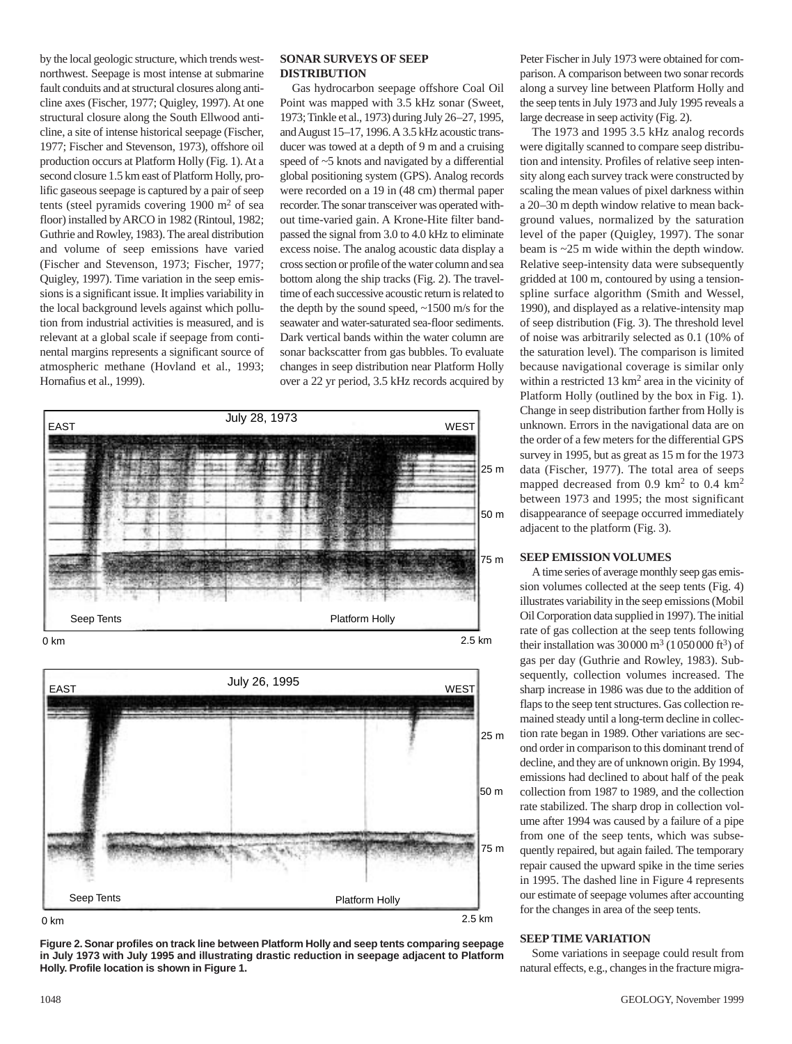by the local geologic structure, which trends westnorthwest. Seepage is most intense at submarine fault conduits and at structural closures along anticline axes (Fischer, 1977; Quigley, 1997). At one structural closure along the South Ellwood anticline, a site of intense historical seepage (Fischer, 1977; Fischer and Stevenson, 1973), offshore oil production occurs at Platform Holly (Fig. 1). At a second closure 1.5 km east of Platform Holly, prolific gaseous seepage is captured by a pair of seep tents (steel pyramids covering  $1900 \text{ m}^2$  of sea floor) installed by ARCO in 1982 (Rintoul, 1982; Guthrie and Rowley, 1983). The areal distribution and volume of seep emissions have varied (Fischer and Stevenson, 1973; Fischer, 1977; Quigley, 1997). Time variation in the seep emissions is a significant issue. It implies variability in the local background levels against which pollution from industrial activities is measured, and is relevant at a global scale if seepage from continental margins represents a significant source of atmospheric methane (Hovland et al., 1993; Hornafius et al., 1999).

# **SONAR SURVEYS OF SEEP DISTRIBUTION**

Gas hydrocarbon seepage offshore Coal Oil Point was mapped with 3.5 kHz sonar (Sweet, 1973; Tinkle et al., 1973) during July 26–27, 1995, and August 15–17, 1996. A 3.5 kHz acoustic transducer was towed at a depth of 9 m and a cruising speed of ~5 knots and navigated by a differential global positioning system (GPS). Analog records were recorded on a 19 in (48 cm) thermal paper recorder. The sonar transceiver was operated without time-varied gain. A Krone-Hite filter bandpassed the signal from 3.0 to 4.0 kHz to eliminate excess noise. The analog acoustic data display a cross section or profile of the water column and sea bottom along the ship tracks (Fig. 2). The traveltime of each successive acoustic return is related to the depth by the sound speed, ~1500 m/s for the seawater and water-saturated sea-floor sediments. Dark vertical bands within the water column are sonar backscatter from gas bubbles. To evaluate changes in seep distribution near Platform Holly over a 22 yr period, 3.5 kHz records acquired by





**Figure 2. Sonar profiles on track line between Platform Holly and seep tents comparing seepage in July 1973 with July 1995 and illustrating drastic reduction in seepage adjacent to Platform Holly. Profile location is shown in Figure 1.**

Peter Fischer in July 1973 were obtained for comparison. A comparison between two sonar records along a survey line between Platform Holly and the seep tents in July 1973 and July 1995 reveals a large decrease in seep activity (Fig. 2).

The 1973 and 1995 3.5 kHz analog records were digitally scanned to compare seep distribution and intensity. Profiles of relative seep intensity along each survey track were constructed by scaling the mean values of pixel darkness within a 20–30 m depth window relative to mean background values, normalized by the saturation level of the paper (Quigley, 1997). The sonar beam is ~25 m wide within the depth window. Relative seep-intensity data were subsequently gridded at 100 m, contoured by using a tensionspline surface algorithm (Smith and Wessel, 1990), and displayed as a relative-intensity map of seep distribution (Fig. 3). The threshold level of noise was arbitrarily selected as 0.1 (10% of the saturation level). The comparison is limited because navigational coverage is similar only within a restricted 13 km2 area in the vicinity of Platform Holly (outlined by the box in Fig. 1). Change in seep distribution farther from Holly is unknown. Errors in the navigational data are on the order of a few meters for the differential GPS survey in 1995, but as great as 15 m for the 1973 data (Fischer, 1977). The total area of seeps mapped decreased from 0.9  $km^2$  to 0.4  $km^2$ between 1973 and 1995; the most significant disappearance of seepage occurred immediately adjacent to the platform (Fig. 3).

## **SEEP EMISSION VOLUMES**

A time series of average monthly seep gas emission volumes collected at the seep tents (Fig. 4) illustrates variability in the seep emissions (Mobil Oil Corporation data supplied in 1997). The initial rate of gas collection at the seep tents following their installation was  $30000 \text{ m}^3$  (1050000 ft<sup>3</sup>) of gas per day (Guthrie and Rowley, 1983). Subsequently, collection volumes increased. The sharp increase in 1986 was due to the addition of flaps to the seep tent structures. Gas collection remained steady until a long-term decline in collection rate began in 1989. Other variations are second order in comparison to this dominant trend of decline, and they are of unknown origin. By 1994, emissions had declined to about half of the peak collection from 1987 to 1989, and the collection rate stabilized. The sharp drop in collection volume after 1994 was caused by a failure of a pipe from one of the seep tents, which was subsequently repaired, but again failed. The temporary repair caused the upward spike in the time series in 1995. The dashed line in Figure 4 represents our estimate of seepage volumes after accounting for the changes in area of the seep tents.

## **SEEP TIME VARIATION**

Some variations in seepage could result from natural effects, e.g., changes in the fracture migra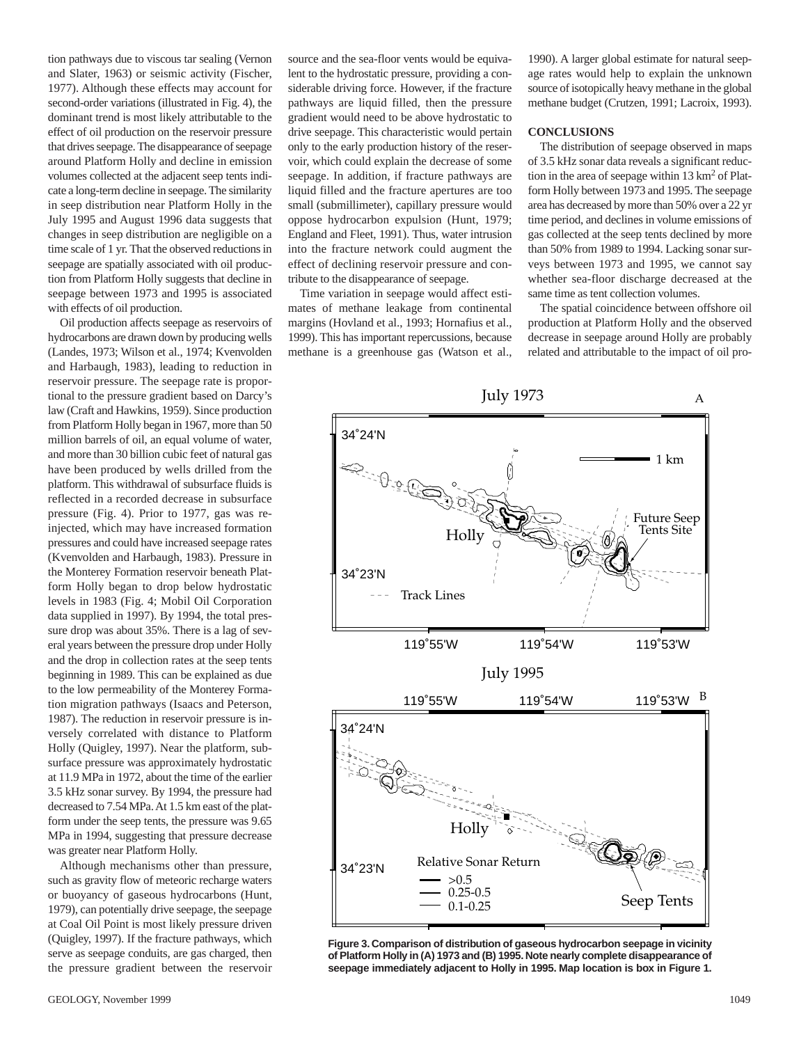tion pathways due to viscous tar sealing (Vernon and Slater, 1963) or seismic activity (Fischer, 1977). Although these effects may account for second-order variations (illustrated in Fig. 4), the dominant trend is most likely attributable to the effect of oil production on the reservoir pressure that drives seepage. The disappearance of seepage around Platform Holly and decline in emission volumes collected at the adjacent seep tents indicate a long-term decline in seepage. The similarity in seep distribution near Platform Holly in the July 1995 and August 1996 data suggests that changes in seep distribution are negligible on a time scale of 1 yr. That the observed reductions in seepage are spatially associated with oil production from Platform Holly suggests that decline in seepage between 1973 and 1995 is associated with effects of oil production.

Oil production affects seepage as reservoirs of hydrocarbons are drawn down by producing wells (Landes, 1973; Wilson et al., 1974; Kvenvolden and Harbaugh, 1983), leading to reduction in reservoir pressure. The seepage rate is proportional to the pressure gradient based on Darcy's law (Craft and Hawkins, 1959). Since production from Platform Holly began in 1967, more than 50 million barrels of oil, an equal volume of water, and more than 30 billion cubic feet of natural gas have been produced by wells drilled from the platform. This withdrawal of subsurface fluids is reflected in a recorded decrease in subsurface pressure (Fig. 4). Prior to 1977, gas was reinjected, which may have increased formation pressures and could have increased seepage rates (Kvenvolden and Harbaugh, 1983). Pressure in the Monterey Formation reservoir beneath Platform Holly began to drop below hydrostatic levels in 1983 (Fig. 4; Mobil Oil Corporation data supplied in 1997). By 1994, the total pressure drop was about 35%. There is a lag of several years between the pressure drop under Holly and the drop in collection rates at the seep tents beginning in 1989. This can be explained as due to the low permeability of the Monterey Formation migration pathways (Isaacs and Peterson, 1987). The reduction in reservoir pressure is inversely correlated with distance to Platform Holly (Quigley, 1997). Near the platform, subsurface pressure was approximately hydrostatic at 11.9 MPa in 1972, about the time of the earlier 3.5 kHz sonar survey. By 1994, the pressure had decreased to 7.54 MPa. At 1.5 km east of the platform under the seep tents, the pressure was 9.65 MPa in 1994, suggesting that pressure decrease was greater near Platform Holly.

Although mechanisms other than pressure, such as gravity flow of meteoric recharge waters or buoyancy of gaseous hydrocarbons (Hunt, 1979), can potentially drive seepage, the seepage at Coal Oil Point is most likely pressure driven (Quigley, 1997). If the fracture pathways, which serve as seepage conduits, are gas charged, then the pressure gradient between the reservoir

source and the sea-floor vents would be equivalent to the hydrostatic pressure, providing a considerable driving force. However, if the fracture pathways are liquid filled, then the pressure gradient would need to be above hydrostatic to drive seepage. This characteristic would pertain only to the early production history of the reservoir, which could explain the decrease of some seepage. In addition, if fracture pathways are liquid filled and the fracture apertures are too small (submillimeter), capillary pressure would oppose hydrocarbon expulsion (Hunt, 1979; England and Fleet, 1991). Thus, water intrusion into the fracture network could augment the effect of declining reservoir pressure and contribute to the disappearance of seepage.

Time variation in seepage would affect estimates of methane leakage from continental margins (Hovland et al., 1993; Hornafius et al., 1999). This has important repercussions, because methane is a greenhouse gas (Watson et al., 1990). A larger global estimate for natural seepage rates would help to explain the unknown source of isotopically heavy methane in the global methane budget (Crutzen, 1991; Lacroix, 1993).

#### **CONCLUSIONS**

The distribution of seepage observed in maps of 3.5 kHz sonar data reveals a significant reduction in the area of seepage within  $13 \text{ km}^2$  of Platform Holly between 1973 and 1995. The seepage area has decreased by more than 50% over a 22 yr time period, and declines in volume emissions of gas collected at the seep tents declined by more than 50% from 1989 to 1994. Lacking sonar surveys between 1973 and 1995, we cannot say whether sea-floor discharge decreased at the same time as tent collection volumes.

The spatial coincidence between offshore oil production at Platform Holly and the observed decrease in seepage around Holly are probably related and attributable to the impact of oil pro-



**Figure 3. Comparison of distribution of gaseous hydrocarbon seepage in vicinity of Platform Holly in (A) 1973 and (B) 1995. Note nearly complete disappearance of seepage immediately adjacent to Holly in 1995. Map location is box in Figure 1.**